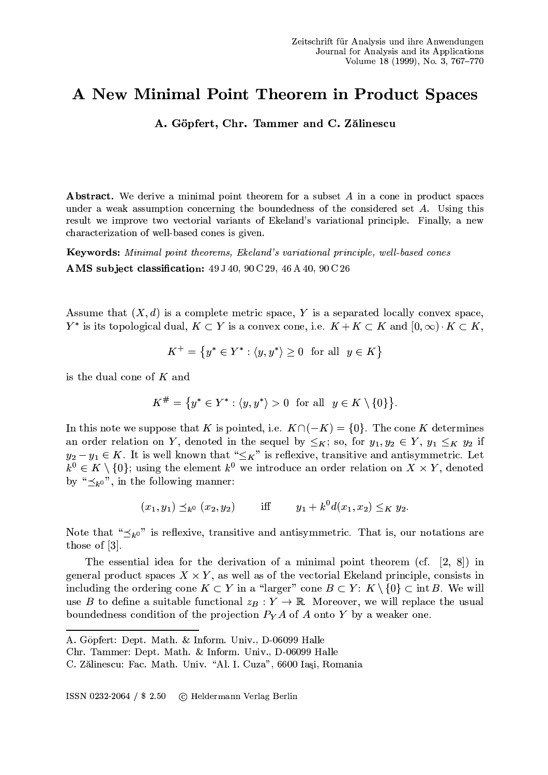## A New Minimal Point Theorem in Product Spaces

A. Göpfert, Chr. Tammer and C. Zălinescu

**Abstract.** We derive a minimal point theorem for a subset A in a cone in product spaces under a weak assumption concerning the boundedness of the considered set  $A$ . Using this result we improve two vectorial variants of Ekeland's variational principle. Finally, a new characterization of well-based cones is given.

**Keywords:** Minimal point theorems, Ekeland's variational principle, well-based cones AMS subject classification: 49 J 40, 90 C 29, 46 A 40, 90 C 26

Assume that  $(X, d)$  is a complete metric space, Y is a separated locally convex space,  $Y^*$  is its topological dual,  $K \subset Y$  is a convex cone, i.e.  $K + K \subset K$  and  $[0, \infty) \cdot K \subset K$ ,

$$
K^+ = \{ y^* \in Y^* : \langle y, y^* \rangle \ge 0 \text{ for all } y \in K \}
$$

is the dual cone of  $K$  and

$$
K^{\#} = \{ y^* \in Y^* : \langle y, y^* \rangle > 0 \text{ for all } y \in K \setminus \{0\} \}.
$$

In this note we suppose that K is pointed, i.e.  $K \cap (-K) = \{0\}$ . The cone K determines an order relation on Y, denoted in the sequel by  $\leq_K$ ; so, for  $y_1, y_2 \in Y$ ,  $y_1 \leq_K y_2$  if  $y_2 - y_1 \in K$ . It is well known that " $\leq_K$ " is reflexive, transitive and antisymmetric. Let  $k^0 \in K \setminus \{0\}$ ; using the element  $k^0$  we introduce an order relation on  $X \times Y$ , denoted by " $\prec_{k_0}$ ", in the following manner:

$$
(x_1, y_1) \preceq_{k^0} (x_2, y_2)
$$
 iff  $y_1 + k^0 d(x_1, x_2) \leq_K y_2$ .

Note that " $\preceq_{k^0}$ " is reflexive, transitive and antisymmetric. That is, our notations are those of  $[3]$ .

The essential idea for the derivation of a minimal point theorem (cf.  $[2, 8]$ ) in general product spaces  $X \times Y$ , as well as of the vectorial Ekeland principle, consists in including the ordering cone  $K \subset Y$  in a "larger" cone  $B \subset Y: K \setminus \{0\} \subset \text{int } B$ . We will use B to define a suitable functional  $z_B: Y \to \mathbb{R}$ . Moreover, we will replace the usual boundedness condition of the projection  $P_Y A$  of A onto Y by a weaker one.

A. Göpfert: Dept. Math. & Inform. Univ., D-06099 Halle

Chr. Tammer: Dept. Math. & Inform. Univ., D-06099 Halle

C. Zălinescu: Fac. Math. Univ. "Al. I. Cuza", 6600 Iași, Romania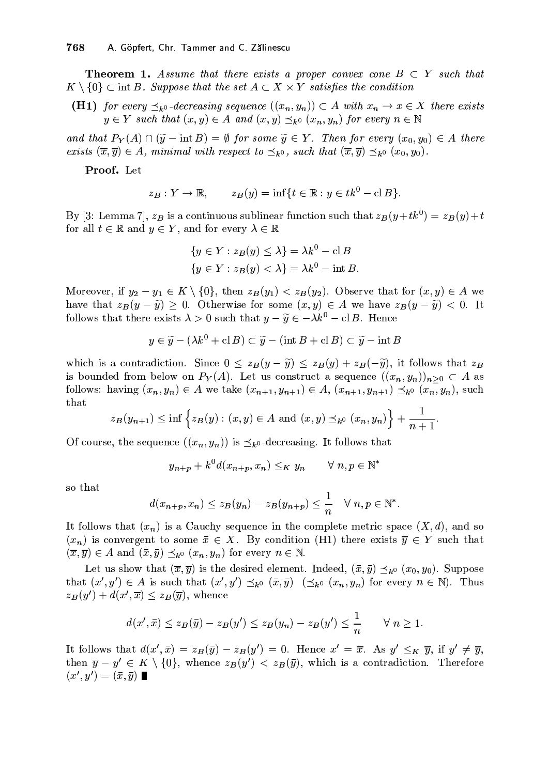**Theorem 1.** Assume that there exists a proper convex cone  $B \subset Y$  such that  $K \setminus \{0\} \subset \text{int } B$ . Suppose that the set  $A \subset X \times Y$  satisfies the condition

**(H1)** for every  $\preceq_{k^0}$ -decreasing sequence  $((x_n, y_n)) \subset A$  with  $x_n \to x \in X$  there exists  $y \in Y$  such that  $(x, y) \in A$  and  $(x, y) \preceq_{k^0} (x_n, y_n)$  for every  $n \in \mathbb{N}$ 

and that  $P_Y(A) \cap (\tilde{y} - \text{int } B) = \emptyset$  for some  $\tilde{y} \in Y$ . Then for every  $(x_0, y_0) \in A$  there exists  $(\overline{x}, \overline{y}) \in A$ , minimal with respect to  $\preceq_{k^0}$ , such that  $(\overline{x}, \overline{y}) \preceq_{k^0} (x_0, y_0)$ .

Proof. Let

$$
z_B: Y \to \mathbb{R}, \qquad z_B(y) = \inf\{t \in \mathbb{R} : y \in tk^0 - \text{cl }B\}
$$

By [3: Lemma 7],  $z_B$  is a continuous sublinear function such that  $z_B(y+tk^0) = z_B(y)+t$ for all  $t \in \mathbb{R}$  and  $y \in Y$ , and for every  $\lambda \in \mathbb{R}$ 

$$
\{y \in Y : z_B(y) \le \lambda\} = \lambda k^0 - \text{cl } B
$$

$$
\{y \in Y : z_B(y) < \lambda\} = \lambda k^0 - \text{int } B
$$

Moreover, if  $y_2 - y_1 \in K \setminus \{0\}$ , then  $z_B(y_1) < z_B(y_2)$ . Observe that for  $(x, y) \in A$  we have that  $z_B(y - \tilde{y}) \geq 0$ . Otherwise for some  $(x, y) \in A$  we have  $z_B(y - \tilde{y}) < 0$ . It follows that there exists  $\lambda > 0$  such that  $y - \tilde{y} \in -\lambda k^0 - \text{cl } B$ . Hence

$$
y \in \widetilde{y} - (\lambda k^0 + \mathbf{cl} \, B) \subset \widetilde{y} - (\text{int } B + \mathbf{cl} \, B) \subset \widetilde{y} - \text{int } B
$$

which is a contradiction. Since  $0 \leq z_B(y - \tilde{y}) \leq z_B(y) + z_B(-\tilde{y})$ , it follows that  $z_B$ is bounded from below on  $P_Y(A)$ . Let us construct a sequence  $((x_n, y_n))_{n\geq 0} \subset A$  as follows: having  $(x_n, y_n) \in A$  we take  $(x_{n+1}, y_{n+1}) \in A$ ,  $(x_{n+1}, y_{n+1}) \preceq_{k^0} (x_n, y_n)$ , such that

$$
z_B(y_{n+1}) \leq \inf \{ z_B(y) : (x, y) \in A \text{ and } (x, y) \preceq_{k^0} (x_n, y_n) \} + \frac{1}{n+1}.
$$

Of course, the sequence  $((x_n, y_n))$  is  $\preceq_{k^0}$ -decreasing. It follows that

$$
y_{n+p} + k^0 d(x_{n+p}, x_n) \leq_K y_n \qquad \forall n, p \in \mathbb{N}
$$

so that

$$
d(x_{n+p}, x_n) \le z_B(y_n) - z_B(y_{n+p}) \le \frac{1}{n} \quad \forall \ n, p \in \mathbb{N}^*.
$$

It follows that  $(x_n)$  is a Cauchy sequence in the complete metric space  $(X, d)$ , and so  $(x_n)$  is convergent to some  $\bar{x} \in X$ . By condition (H1) there exists  $\bar{y} \in Y$  such that  $(\overline{x}, \overline{y}) \in A$  and  $(\overline{x}, \overline{y}) \preceq_{k^0} (x_n, y_n)$  for every  $n \in \mathbb{N}$ .

Let us show that  $(\overline{x}, \overline{y})$  is the desired element. Indeed,  $(\overline{x}, \overline{y}) \prec_{k^0} (x_0, y_0)$ . Suppose that  $(x', y') \in A$  is such that  $(x', y') \preceq_{k^0} (\bar{x}, \bar{y})$   $(\preceq_{k^0} (x_n, y_n)$  for every  $n \in \mathbb{N}$ . Thus  $z_B(y') + d(x', \overline{x}) \leq z_B(\overline{y})$ , whence

$$
d(x',\bar{x}) \leq z_B(\bar{y}) - z_B(y') \leq z_B(y_n) - z_B(y') \leq \frac{1}{n} \qquad \forall n \geq 1
$$

It follows that  $d(x', \bar{x}) = z_B(\bar{y}) - z_B(y') = 0$ . Hence  $x' = \bar{x}$ . As  $y' \leq_K \bar{y}$ , if  $y' \neq \bar{y}$ , then  $\overline{y} - y' \in K \setminus \{0\}$ , whence  $z_B(y') < z_B(\overline{y})$ , which is a contradiction. Therefore  $(x', y') = (\bar{x}, \bar{y}) \blacksquare$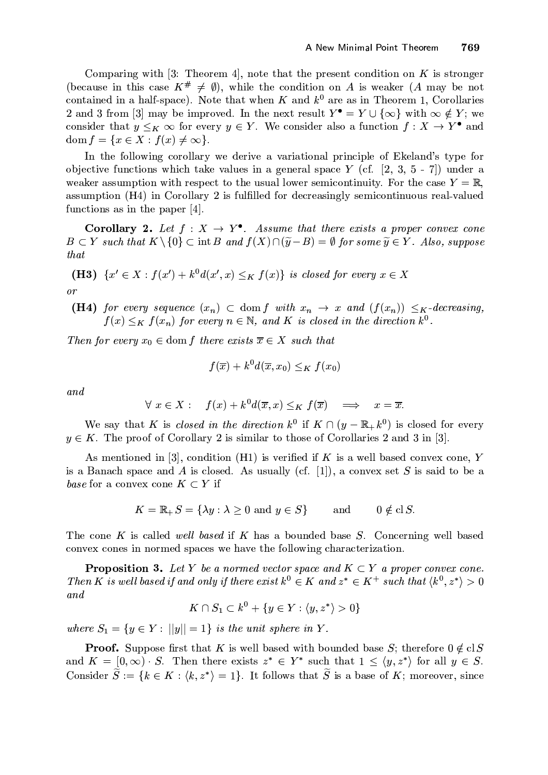Comparing with [3: Theorem 4], note that the present condition on K is stronger (because in this case  $K^{\#} \neq \emptyset$ ), while the condition on A is weaker (A may be not contained in a half-space). Note that when K and  $k^0$  are as in Theorem 1, Corollaries 2 and 3 from [3] may be improved. In the next result  $Y^{\bullet} = Y \cup \{\infty\}$  with  $\infty \notin Y$ ; we consider that  $y \leq_K \infty$  for every  $y \in Y$ . We consider also a function  $f: X \to Y^{\bullet}$  and dom  $f = \{x \in X : f(x) \neq \infty\}.$ 

In the following corollary we derive a variational principle of Ekeland's type for objective functions which take values in a general space Y (cf.  $[2, 3, 5 - 7]$ ) under a weaker assumption with respect to the usual lower semicontinuity. For the case  $Y = \mathbb{R}$ , assumption (H4) in Corollary 2 is fulfilled for decreasingly semicontinuous real-valued functions as in the paper  $[4]$ .

**Corollary 2.** Let  $f: X \to Y^{\bullet}$ . Assume that there exists a proper convex cone  $B \subset Y$  such that  $K \setminus \{0\} \subset \text{int } B$  and  $f(X) \cap (\widetilde{y} - B) = \emptyset$  for some  $\widetilde{y} \in Y$ . Also, suppose *that* 

(**H3**)  $\{x' \in X : f(x') + k^0 d(x', x) \leq_K f(x)\}\$ is closed for every  $x \in X$  $\overline{or}$ 

**(H4)** for every sequence  $(x_n) \subset \text{dom } f$  with  $x_n \to x$  and  $(f(x_n)) \leq_K$ -decreasing,  $f(x) \leq_K f(x_n)$  for every  $n \in \mathbb{N}$ , and K is closed in the direction  $k^0$ .

Then for every  $x_0 \in \text{dom } f$  there exists  $\overline{x} \in X$  such that

$$
f(\overline{x}) + k^0 d(\overline{x}, x_0) \leq_K f(x_0)
$$

and

$$
\forall x \in X: \quad f(x) + k^0 d(\overline{x}, x) \leq_K f(\overline{x}) \quad \Longrightarrow \quad x = \overline{x}.
$$

We say that K is *closed in the direction*  $k^0$  if  $K \cap (y - \mathbb{R}_+ k^0)$  is closed for every  $y \in K$ . The proof of Corollary 2 is similar to those of Corollaries 2 and 3 in [3].

As mentioned in [3], condition (H1) is verified if K is a well based convex cone, Y is a Banach space and A is closed. As usually (cf. [1]), a convex set S is said to be a base for a convex cone  $K \subset Y$  if

> $K = \mathbb{R}_+ S = \{\lambda y : \lambda \geq 0 \text{ and } y \in S\}$ and  $0 \notin \mathrm{cl}\, S.$

The cone K is called well based if K has a bounded base S. Concerning well based convex cones in normed spaces we have the following characterization.

**Proposition 3.** Let Y be a normed vector space and  $K \subset Y$  a proper convex cone. Then K is well based if and only if there exist  $k^0 \in K$  and  $z^* \in K^+$  such that  $\langle k^0, z^* \rangle > 0$ and

$$
K\cap S_1\subset k^0+\{y\in Y:\langle y,z^*\rangle>0\}
$$

where  $S_1 = \{y \in Y : ||y|| = 1\}$  is the unit sphere in Y.

**Proof.** Suppose first that K is well based with bounded base S; therefore  $0 \notin \text{cl } S$ and  $K = [0, \infty) \cdot S$ . Then there exists  $z^* \in Y^*$  such that  $1 \le \langle y, z^* \rangle$  for all  $y \in S$ . Consider  $\widetilde{S} := \{k \in K : \langle k, z^* \rangle = 1\}$ . It follows that  $\widetilde{S}$  is a base of K; moreover, since